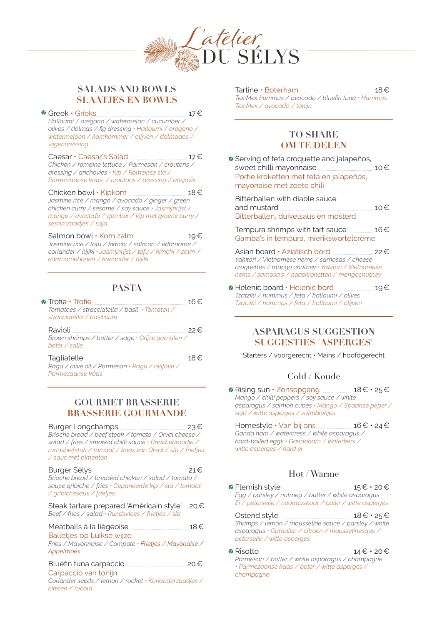

## **SALADS AND BOWLS SLAATJES EN BOWLS**

<sup>●</sup> Greek • Grieks <u>| | 27</u>€ *Halloumi / oregano / watermelon / cucumber / olives / dolmas / fig dressing • Halloumi / oregano / watermeloen / komkommer / olijven / dolmades / vijgendressing* 

Caesar • Caesar's Salad 17€ *Chicken / romaine lettuce / Parmesan / croutons / dressing / anchovies • Kip / Romeinse sla / Parmezaanse kaas / croutons / dressing / ansjovis*

Chicken bowl • Kipkom 18€ *Jasmine rice / mango / avocado / ginger / green chicken curry / sesame / soy sauce • Jasmijnrijst / mango / avocado / gember / kip met groene curry / sesamzaadjes / soja* 

Salmon bowl  $\cdot$  Kom zalm  $\frac{19}{5}$ *Jasmine rice / tofu / kimchi / salmon / edamame / coriander / hijiki • Jasmijnrijst / tofu / kimchi / zalm / edamamebonen / koriander / hijiki*

## **PASTA**

**•** Trofie • Trofie 16€ *Tomatoes / stracciatella / basil • Tomaten / stracciatella / basilicum* 

| Ravioli                                                            | 22€.     |
|--------------------------------------------------------------------|----------|
| Brown shrimps / butter / sage · Grijze garnalen /<br>boter / salie |          |
| Tagliatelle                                                        | $18 \in$ |

*Ragù / olive oil / Parmesan • Ragù / olijfolie / Parmezaanse kaas* 

#### **GOURMET BRASSERIE BRASSERIE GOURMANDE**

Burger Longchamps 23€ *Brioche bread / beef steak / tomato / Orval cheese / salad / fries / smoked chilli sauce • Briochebroodje / rundsbiefstuk / tomaat / kaas van Orval / sla / frietjes / saus met pimentón*

Burger Sélys 21€ *Brioche bread / breaded chicken / salad / tomato / sauce gribiche / fries • Gepaneerde kip / sla / tomaat / gribichesaus / frietjes*

Steak tartare prepared 'Américain style' 20€ *Beef / fries / salad • Rundsvlees / frietjes / sla* 

Meatballs à la liégeoise <u>et au messe</u> 18€

Balletjes op Luikse wijze *Fries / Mayonnaise / Compote • Frietjes / Mayonaise / Appelmoes* 

## Bluefin tuna carpaccio 20€

Carpaccio van tonijn

*Coriander seeds / lemon / rocket • Korianderzaadjes / citroen / rucola* 

Tartine • Boterham <u>[18€</u> *Tex Mex hummus / avocado / bluefin tuna • Hummus Tex Mex / avocado / tonijn*

#### **TO SHARE OM TE DELEN**

**Serving of feta croquette and jalapeños,** sweet chilli mayonnaise 10€ Portie kroketten met feta en jalapeños, mayonaise met zoete chili

Bitterballen with diable sauce and mustard 10€ Bitterballen, duivelsaus en mosterd

Tempura shrimps with tart sauce  $16€$ Gamba's in tempura, mierikswortelcrème

Asian board • Aziatisch bord 22€ *Yakitori / Vietnamese nems / samosas / cheese croquettes / mango chutney • Yakitori / Vietnamese nems / samosa's / kaaskroketten / mangochutney*

**•** Helenic board • Helenic bord 19€ *Tzatziki / hummus / feta / halloumi / olives Tzatziki / hummus / feta / halloumi / olijven* 

#### **ASPARAGUS SUGGESTION SUGGESTIES 'ASPERGES'**

Starters / voorgerecht • Mains / hoofdgerecht

## Cold / Koude

**•** Rising sun • Zonsopgang 18€ • 25€ *Mango / chilli peppers / soy sauce / white asparagus / salmon cubes • Mango / Spaanse peper / soja / witte asperges / zalmblokjes*

Homestyle  $\cdot$  Van bij ons  $\frac{16}{5}$  • 24 € *Ganda ham / watercress / white asparagus / hard-boiled eggs • Gandaham / waterkers / witte asperges / hard ei* 

# Hot / Warme

 $\bullet$  Flemish style  $\qquad \qquad 15 \epsilon \cdot 20 \epsilon$ *Egg / parsley / nutmeg / butter / white asparagus Ei / peterselie / nootmuskaat / boter / witte asperges* 

Ostend style  $\frac{18}{6} \cdot 25$ *Shrimps / lemon / mousseline sauce / parsley / white asparagus • Garnalen / citroen / mousselinesaus / peterselie / witte asperges* 

Risotto 14€ • 20€

*Parmesan / butter / white asparagus / champagne • Parmezaanse kaas / boter / witte asperges / champagne*